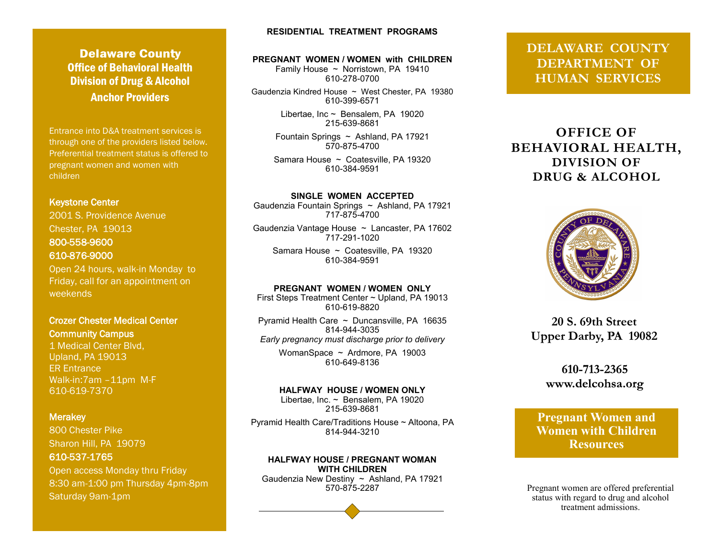# **Delaware County** Office of Behavioral Health Division of Drug & Alcohol Anchor Providers

Entrance into D&A treatment services is through one of the providers listed below. Preferential treatment status is offered to pregnant women and women with children

#### Keystone Center

2001 S. Providence Avenue Chester, PA 19013 800-558-9600 610-876-9000

Open 24 hours, walk-in Monday to Friday, call for an appointment on weekends

## Crozer Chester Medical Center Community Campus

1 Medical Center Blvd, Upland, PA 19013 ER Entrance Walk-in:7am –11pm M-F 610-619-7370

#### **Merakey**

800 Chester Pike Sharon Hill, PA 19079 610-537-1765

Open access Monday thru Friday 8:30 am-1:00 pm Thursday 4pm-8pm Saturday 9am-1pm

## **RESIDENTIAL TREATMENT PROGRAMS**

#### **PREGNANT WOMEN / WOMEN with CHILDREN**

Family House ~ Norristown, PA 19410 610-278-0700

Gaudenzia Kindred House ~ West Chester, PA 19380 610-399-6571

> Libertae, Inc ~ Bensalem, PA 19020 215-639-8681

Fountain Springs ~ Ashland, PA 17921 570-875-4700

Samara House ~ Coatesville, PA 19320 610-384-9591

**SINGLE WOMEN ACCEPTED** Gaudenzia Fountain Springs ~ Ashland, PA 17921 717-875-4700

Gaudenzia Vantage House ~ Lancaster, PA 17602 717-291-1020

Samara House ~ Coatesville, PA 19320 610-384-9591

#### **PREGNANT WOMEN / WOMEN ONLY**

First Steps Treatment Center ~ Upland, PA 19013 610-619-8820 Pyramid Health Care ~ Duncansville, PA 16635 814-944-3035 *Early pregnancy must discharge prior to delivery* WomanSpace ~ Ardmore, PA 19003 610-649-8136

**HALFWAY HOUSE / WOMEN ONLY**  Libertae, Inc. ~ Bensalem, PA 19020 215-639-8681

Pyramid Health Care/Traditions House ~ Altoona, PA 814-944-3210

**HALFWAY HOUSE / PREGNANT WOMAN WITH CHILDREN** Gaudenzia New Destiny  $\sim$  Ashland, PA 17921<br>570-875-2287

# **DELAWARE COUNTY DEPARTMENT OF HUMAN SERVICES**

# **OFFICE OF BEHAVIORAL HEALTH, DIVISION OF DRUG & ALCOHOL**



**20 S. 69th Street Upper Darby, PA 19082**

> 610-713-2365 www.delcohsa.org

**Pregnant Women and Women with Children Resources** 

Pregnant women are offered preferential status with regard to drug and alcohol treatment admissions.